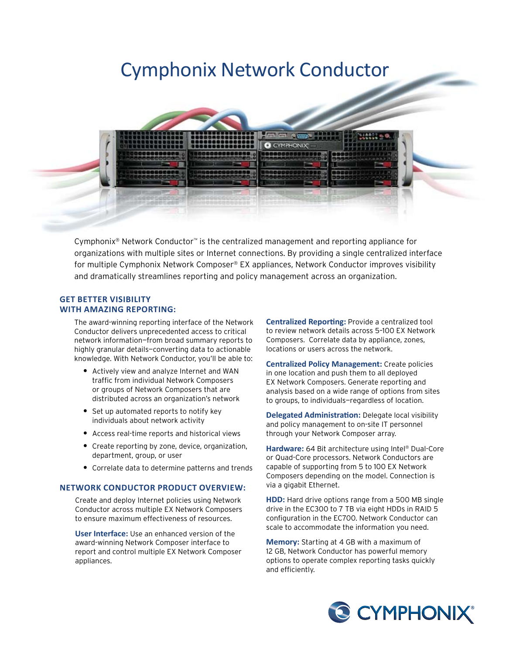# Cymphonix Network Conductor



Cymphonix® Network Conductor™ is the centralized management and reporting appliance for organizations with multiple sites or Internet connections. By providing a single centralized interface for multiple Cymphonix Network Composer® EX appliances, Network Conductor improves visibility and dramatically streamlines reporting and policy management across an organization.

#### **Get better visibility with amazing reporting:**

The award-winning reporting interface of the Network Conductor delivers unprecedented access to critical network information—from broad summary reports to highly granular details—converting data to actionable knowledge. With Network Conductor, you'll be able to:

- **•** Actively view and analyze Internet and WAN traffic from individual Network Composers or groups of Network Composers that are distributed across an organization's network
- **•** Set up automated reports to notify key individuals about network activity
- **•** Access real-time reports and historical views
- **•** Create reporting by zone, device, organization, department, group, or user
- **•** Correlate data to determine patterns and trends

#### **Network Conductor product overview:**

Create and deploy Internet policies using Network Conductor across multiple EX Network Composers to ensure maximum effectiveness of resources.

**User Interface:** Use an enhanced version of the award-winning Network Composer interface to report and control multiple EX Network Composer appliances.

**Centralized Reporting:** Provide a centralized tool to review network details across 5–100 EX Network Composers. Correlate data by appliance, zones, locations or users across the network.

**Centralized Policy Management:** Create policies in one location and push them to all deployed EX Network Composers. Generate reporting and analysis based on a wide range of options from sites to groups, to individuals—regardless of location.

**Delegated Administration:** Delegate local visibility and policy management to on-site IT personnel through your Network Composer array.

**Hardware:** 64 Bit architecture using Intel® Dual-Core or Quad-Core processors. Network Conductors are capable of supporting from 5 to 100 EX Network Composers depending on the model. Connection is via a gigabit Ethernet.

**HDD:** Hard drive options range from a 500 MB single drive in the EC300 to 7 TB via eight HDDs in RAID 5 configuration in the EC700. Network Conductor can scale to accommodate the information you need.

**Memory:** Starting at 4 GB with a maximum of 12 GB, Network Conductor has powerful memory options to operate complex reporting tasks quickly and efficiently.